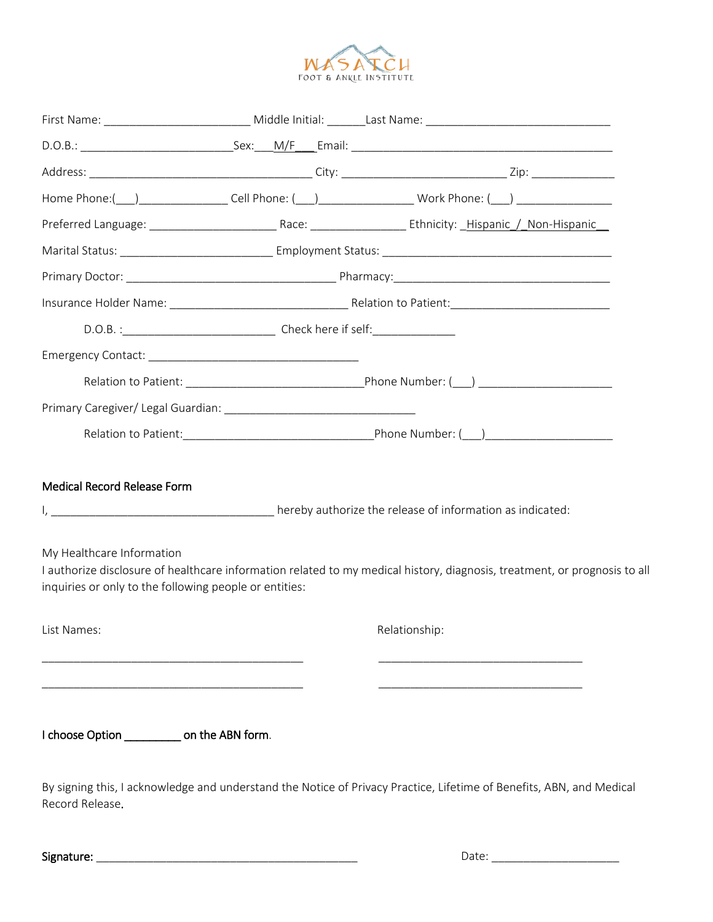

| <b>Medical Record Release Form</b><br>My Healthcare Information<br>inquiries or only to the following people or entities: |  | I authorize disclosure of healthcare information related to my medical history, diagnosis, treatment, or prognosis to all |
|---------------------------------------------------------------------------------------------------------------------------|--|---------------------------------------------------------------------------------------------------------------------------|
| List Names:                                                                                                               |  | Relationship:                                                                                                             |
| I choose Option ____________ on the ABN form.<br>Record Release.                                                          |  | By signing this, I acknowledge and understand the Notice of Privacy Practice, Lifetime of Benefits, ABN, and Medical      |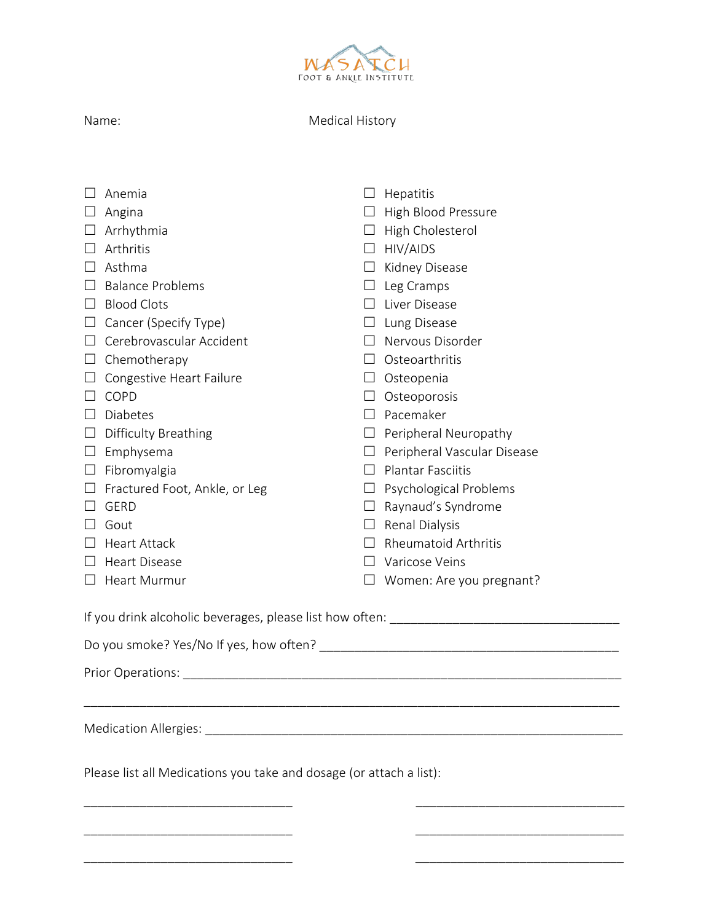

| J | am |  |
|---|----|--|
|   |    |  |

Medical History

|                                                                     | Anemia                               | Ш      | Hepatitis                          |  |
|---------------------------------------------------------------------|--------------------------------------|--------|------------------------------------|--|
|                                                                     | Angina                               |        | $\Box$ High Blood Pressure         |  |
| $\Box$                                                              | Arrhythmia                           |        | $\Box$ High Cholesterol            |  |
| $\Box$                                                              | Arthritis                            |        | $\Box$ HIV/AIDS                    |  |
| $\Box$                                                              | Asthma                               |        | $\Box$ Kidney Disease              |  |
| $\perp$                                                             | <b>Balance Problems</b>              |        | $\Box$ Leg Cramps                  |  |
| $\Box$                                                              | <b>Blood Clots</b>                   |        | Liver Disease                      |  |
| $\Box$                                                              | Cancer (Specify Type)                |        | $\Box$ Lung Disease                |  |
| $\perp$                                                             | Cerebrovascular Accident             |        | $\Box$ Nervous Disorder            |  |
|                                                                     | $\Box$ Chemotherapy                  |        | Osteoarthritis                     |  |
|                                                                     | $\Box$ Congestive Heart Failure      |        | $\Box$ Osteopenia                  |  |
| $\Box$                                                              | COPD                                 | $\Box$ | Osteoporosis                       |  |
| $\Box$                                                              | <b>Diabetes</b>                      | $\Box$ | Pacemaker                          |  |
| $\Box$                                                              | <b>Difficulty Breathing</b>          |        | $\Box$ Peripheral Neuropathy       |  |
|                                                                     | $\Box$ Emphysema                     |        | $\Box$ Peripheral Vascular Disease |  |
|                                                                     | $\Box$ Fibromyalgia                  |        | $\Box$ Plantar Fasciitis           |  |
|                                                                     | $\Box$ Fractured Foot, Ankle, or Leg |        | $\Box$ Psychological Problems      |  |
| $\vert \ \ \vert$                                                   | <b>GERD</b>                          |        | $\Box$ Raynaud's Syndrome          |  |
|                                                                     | Gout                                 |        | $\Box$ Renal Dialysis              |  |
|                                                                     | Heart Attack                         |        | <b>Rheumatoid Arthritis</b>        |  |
| $\perp$                                                             | <b>Heart Disease</b>                 |        | Varicose Veins                     |  |
|                                                                     | $\Box$ Heart Murmur                  |        | Women: Are you pregnant?           |  |
| Prior Operations:                                                   |                                      |        |                                    |  |
| Please list all Medications you take and dosage (or attach a list): |                                      |        |                                    |  |
|                                                                     |                                      |        |                                    |  |

\_\_\_\_\_\_\_\_\_\_\_\_\_\_\_\_\_\_\_\_\_\_\_\_\_\_\_\_\_\_ \_\_\_\_\_\_\_\_\_\_\_\_\_\_\_\_\_\_\_\_\_\_\_\_\_\_\_\_\_\_

\_\_\_\_\_\_\_\_\_\_\_\_\_\_\_\_\_\_\_\_\_\_\_\_\_\_\_\_\_\_ \_\_\_\_\_\_\_\_\_\_\_\_\_\_\_\_\_\_\_\_\_\_\_\_\_\_\_\_\_\_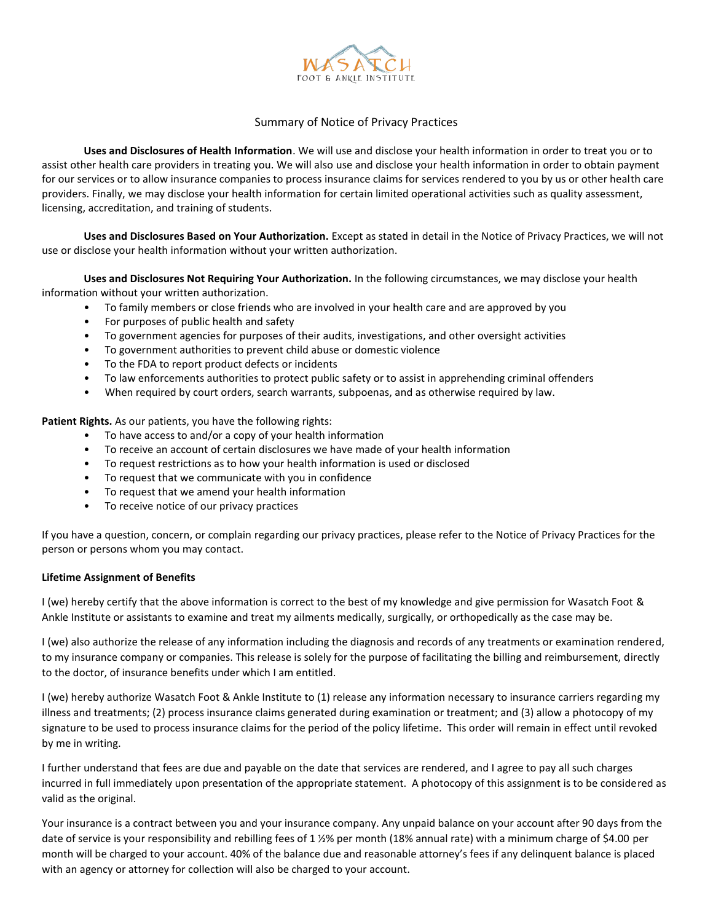

### Summary of Notice of Privacy Practices

**Uses and Disclosures of Health Information**. We will use and disclose your health information in order to treat you or to assist other health care providers in treating you. We will also use and disclose your health information in order to obtain payment for our services or to allow insurance companies to process insurance claims for services rendered to you by us or other health care providers. Finally, we may disclose your health information for certain limited operational activities such as quality assessment, licensing, accreditation, and training of students.

**Uses and Disclosures Based on Your Authorization.** Except as stated in detail in the Notice of Privacy Practices, we will not use or disclose your health information without your written authorization.

**Uses and Disclosures Not Requiring Your Authorization.** In the following circumstances, we may disclose your health information without your written authorization.

- To family members or close friends who are involved in your health care and are approved by you
- For purposes of public health and safety
- To government agencies for purposes of their audits, investigations, and other oversight activities
- To government authorities to prevent child abuse or domestic violence
- To the FDA to report product defects or incidents
- To law enforcements authorities to protect public safety or to assist in apprehending criminal offenders
- When required by court orders, search warrants, subpoenas, and as otherwise required by law.

**Patient Rights.** As our patients, you have the following rights:

- To have access to and/or a copy of your health information
- To receive an account of certain disclosures we have made of your health information
- To request restrictions as to how your health information is used or disclosed
- To request that we communicate with you in confidence
- To request that we amend your health information
- To receive notice of our privacy practices

If you have a question, concern, or complain regarding our privacy practices, please refer to the Notice of Privacy Practices for the person or persons whom you may contact.

#### **Lifetime Assignment of Benefits**

I (we) hereby certify that the above information is correct to the best of my knowledge and give permission for Wasatch Foot & Ankle Institute or assistants to examine and treat my ailments medically, surgically, or orthopedically as the case may be.

I (we) also authorize the release of any information including the diagnosis and records of any treatments or examination rendered, to my insurance company or companies. This release is solely for the purpose of facilitating the billing and reimbursement, directly to the doctor, of insurance benefits under which I am entitled.

I (we) hereby authorize Wasatch Foot & Ankle Institute to (1) release any information necessary to insurance carriers regarding my illness and treatments; (2) process insurance claims generated during examination or treatment; and (3) allow a photocopy of my signature to be used to process insurance claims for the period of the policy lifetime. This order will remain in effect until revoked by me in writing.

I further understand that fees are due and payable on the date that services are rendered, and I agree to pay all such charges incurred in full immediately upon presentation of the appropriate statement. A photocopy of this assignment is to be considered as valid as the original.

Your insurance is a contract between you and your insurance company. Any unpaid balance on your account after 90 days from the date of service is your responsibility and rebilling fees of 1 ½% per month (18% annual rate) with a minimum charge of \$4.00 per month will be charged to your account. 40% of the balance due and reasonable attorney's fees if any delinquent balance is placed with an agency or attorney for collection will also be charged to your account.